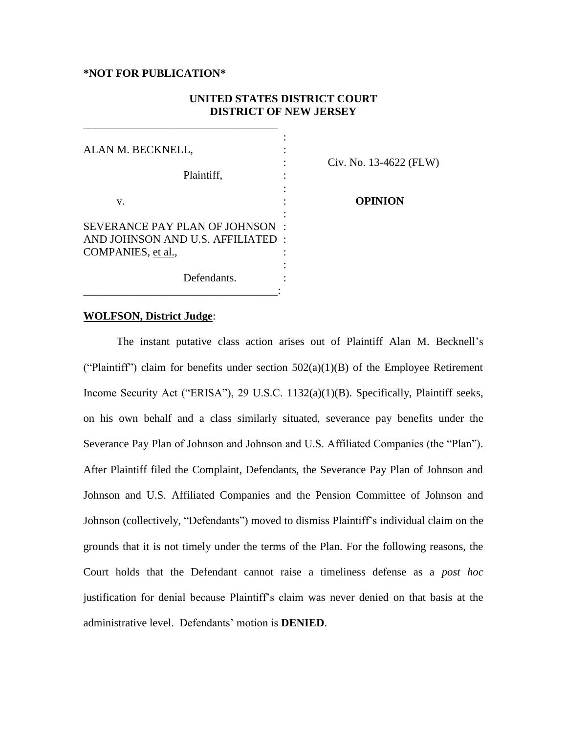#### **\*NOT FOR PUBLICATION\***

\_\_\_\_\_\_\_\_\_\_\_\_\_\_\_\_\_\_\_\_\_\_\_\_\_\_\_\_\_\_\_\_\_\_\_

# **UNITED STATES DISTRICT COURT DISTRICT OF NEW JERSEY**

| ALAN M. BECKNELL,                                                    | Civ. No. 13-4622 (FLW) |
|----------------------------------------------------------------------|------------------------|
| Plaintiff,                                                           |                        |
| v.                                                                   | <b>OPINION</b>         |
| SEVERANCE PAY PLAN OF JOHNSON :<br>AND JOHNSON AND U.S. AFFILIATED : |                        |
| COMPANIES, et al.,                                                   |                        |
| Defendants.                                                          |                        |

## **WOLFSON, District Judge**:

The instant putative class action arises out of Plaintiff Alan M. Becknell's ("Plaintiff") claim for benefits under section  $502(a)(1)(B)$  of the Employee Retirement Income Security Act ("ERISA"), 29 U.S.C. 1132(a)(1)(B). Specifically, Plaintiff seeks, on his own behalf and a class similarly situated, severance pay benefits under the Severance Pay Plan of Johnson and Johnson and U.S. Affiliated Companies (the "Plan"). After Plaintiff filed the Complaint, Defendants, the Severance Pay Plan of Johnson and Johnson and U.S. Affiliated Companies and the Pension Committee of Johnson and Johnson (collectively, "Defendants") moved to dismiss Plaintiff's individual claim on the grounds that it is not timely under the terms of the Plan. For the following reasons, the Court holds that the Defendant cannot raise a timeliness defense as a *post hoc* justification for denial because Plaintiff's claim was never denied on that basis at the administrative level. Defendants' motion is **DENIED**.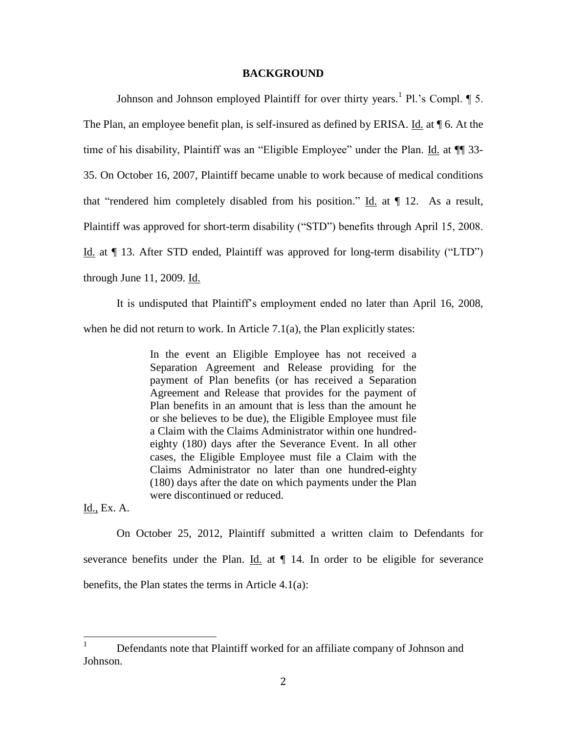#### **BACKGROUND**

Johnson and Johnson employed Plaintiff for over thirty years.<sup>1</sup> Pl.'s Compl. ¶ 5. The Plan, an employee benefit plan, is self-insured as defined by ERISA. Id. at ¶ 6. At the time of his disability, Plaintiff was an "Eligible Employee" under the Plan. Id. at  $\P$  33-35. On October 16, 2007, Plaintiff became unable to work because of medical conditions that "rendered him completely disabled from his position." Id. at ¶ 12. As a result, Plaintiff was approved for short-term disability ("STD") benefits through April 15, 2008. Id. at ¶ 13. After STD ended, Plaintiff was approved for long-term disability ("LTD") through June 11, 2009. Id.

It is undisputed that Plaintiff's employment ended no later than April 16, 2008, when he did not return to work. In Article 7.1(a), the Plan explicitly states:

> In the event an Eligible Employee has not received a Separation Agreement and Release providing for the payment of Plan benefits (or has received a Separation Agreement and Release that provides for the payment of Plan benefits in an amount that is less than the amount he or she believes to be due), the Eligible Employee must file a Claim with the Claims Administrator within one hundredeighty (180) days after the Severance Event. In all other cases, the Eligible Employee must file a Claim with the Claims Administrator no later than one hundred-eighty (180) days after the date on which payments under the Plan were discontinued or reduced.

Id., Ex. A.

On October 25, 2012, Plaintiff submitted a written claim to Defendants for severance benefits under the Plan. Id. at  $\P$  14. In order to be eligible for severance benefits, the Plan states the terms in Article 4.1(a):

 $\mathbf{1}$ <sup>1</sup> Defendants note that Plaintiff worked for an affiliate company of Johnson and Johnson.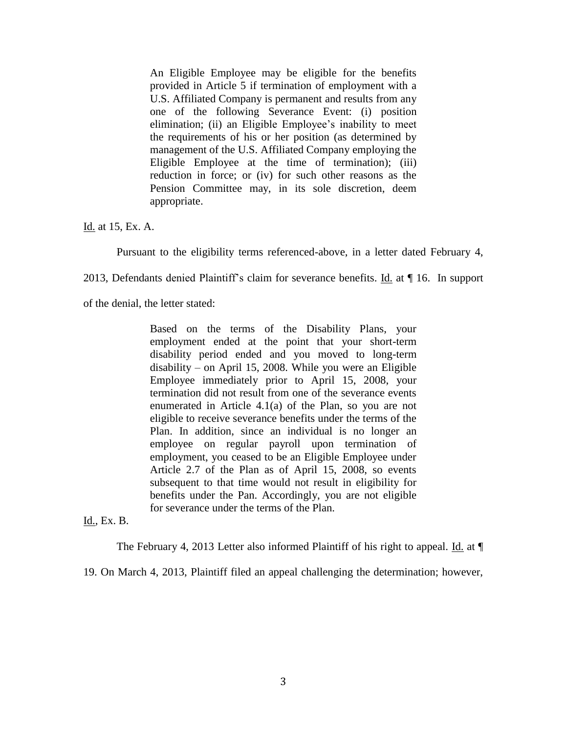An Eligible Employee may be eligible for the benefits provided in Article 5 if termination of employment with a U.S. Affiliated Company is permanent and results from any one of the following Severance Event: (i) position elimination; (ii) an Eligible Employee's inability to meet the requirements of his or her position (as determined by management of the U.S. Affiliated Company employing the Eligible Employee at the time of termination); (iii) reduction in force; or (iv) for such other reasons as the Pension Committee may, in its sole discretion, deem appropriate.

Id. at 15, Ex. A.

Pursuant to the eligibility terms referenced-above, in a letter dated February 4,

2013, Defendants denied Plaintiff's claim for severance benefits. Id. at ¶ 16. In support

of the denial, the letter stated:

Based on the terms of the Disability Plans, your employment ended at the point that your short-term disability period ended and you moved to long-term disability – on April 15, 2008. While you were an Eligible Employee immediately prior to April 15, 2008, your termination did not result from one of the severance events enumerated in Article 4.1(a) of the Plan, so you are not eligible to receive severance benefits under the terms of the Plan. In addition, since an individual is no longer an employee on regular payroll upon termination of employment, you ceased to be an Eligible Employee under Article 2.7 of the Plan as of April 15, 2008, so events subsequent to that time would not result in eligibility for benefits under the Pan. Accordingly, you are not eligible for severance under the terms of the Plan.

Id., Ex. B.

The February 4, 2013 Letter also informed Plaintiff of his right to appeal. Id. at  $\P$ 

19. On March 4, 2013, Plaintiff filed an appeal challenging the determination; however,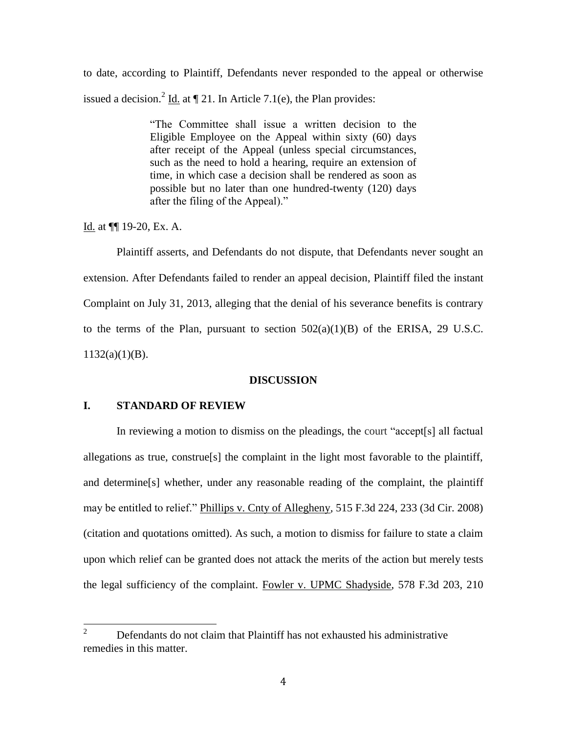to date, according to Plaintiff, Defendants never responded to the appeal or otherwise issued a decision.<sup>2</sup> Id. at  $\P$  21. In Article 7.1(e), the Plan provides:

> "The Committee shall issue a written decision to the Eligible Employee on the Appeal within sixty (60) days after receipt of the Appeal (unless special circumstances, such as the need to hold a hearing, require an extension of time, in which case a decision shall be rendered as soon as possible but no later than one hundred-twenty (120) days after the filing of the Appeal)."

Id. at ¶¶ 19-20, Ex. A.

Plaintiff asserts, and Defendants do not dispute, that Defendants never sought an extension. After Defendants failed to render an appeal decision, Plaintiff filed the instant Complaint on July 31, 2013, alleging that the denial of his severance benefits is contrary to the terms of the Plan, pursuant to section  $502(a)(1)(B)$  of the ERISA, 29 U.S.C.  $1132(a)(1)(B)$ .

# **DISCUSSION**

## **I. STANDARD OF REVIEW**

In reviewing a motion to dismiss on the pleadings, the court "accept[s] all factual allegations as true, construe[s] the complaint in the light most favorable to the plaintiff, and determine[s] whether, under any reasonable reading of the complaint, the plaintiff may be entitled to relief." Phillips v. Cnty of Allegheny*,* 515 F.3d 224, 233 (3d Cir. 2008) (citation and quotations omitted). As such, a motion to dismiss for failure to state a claim upon which relief can be granted does not attack the merits of the action but merely tests the legal sufficiency of the complaint. Fowler v. UPMC Shadyside, 578 F.3d 203, 210

 $\overline{2}$ <sup>2</sup> Defendants do not claim that Plaintiff has not exhausted his administrative remedies in this matter.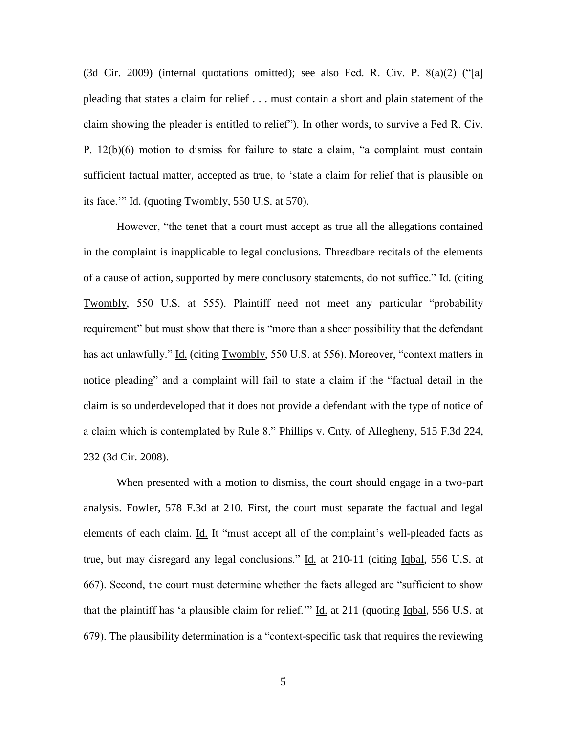(3d Cir. 2009) (internal quotations omitted); see also Fed. R. Civ. P. 8(a)(2) ("[a] pleading that states a claim for relief . . . must contain a short and plain statement of the claim showing the pleader is entitled to relief"). In other words, to survive a Fed R. Civ. P. 12(b)(6) motion to dismiss for failure to state a claim, "a complaint must contain sufficient factual matter, accepted as true, to 'state a claim for relief that is plausible on its face.'" Id. (quoting Twombly, 550 U.S. at 570).

However, "the tenet that a court must accept as true all the allegations contained in the complaint is inapplicable to legal conclusions. Threadbare recitals of the elements of a cause of action, supported by mere conclusory statements, do not suffice." Id. (citing Twombly, 550 U.S. at 555). Plaintiff need not meet any particular "probability requirement" but must show that there is "more than a sheer possibility that the defendant has act unlawfully." Id. (citing Twombly, 550 U.S. at 556). Moreover, "context matters in notice pleading" and a complaint will fail to state a claim if the "factual detail in the claim is so underdeveloped that it does not provide a defendant with the type of notice of a claim which is contemplated by Rule 8." Phillips v. Cnty. of Allegheny, 515 F.3d 224, 232 (3d Cir. 2008).

When presented with a motion to dismiss, the court should engage in a two-part analysis. Fowler, 578 F.3d at 210. First, the court must separate the factual and legal elements of each claim. Id. It "must accept all of the complaint's well-pleaded facts as true, but may disregard any legal conclusions." Id. at 210-11 (citing Iqbal, 556 U.S. at 667). Second, the court must determine whether the facts alleged are "sufficient to show that the plaintiff has 'a plausible claim for relief.'" Id. at 211 (quoting Igbal, 556 U.S. at 679). The plausibility determination is a "context-specific task that requires the reviewing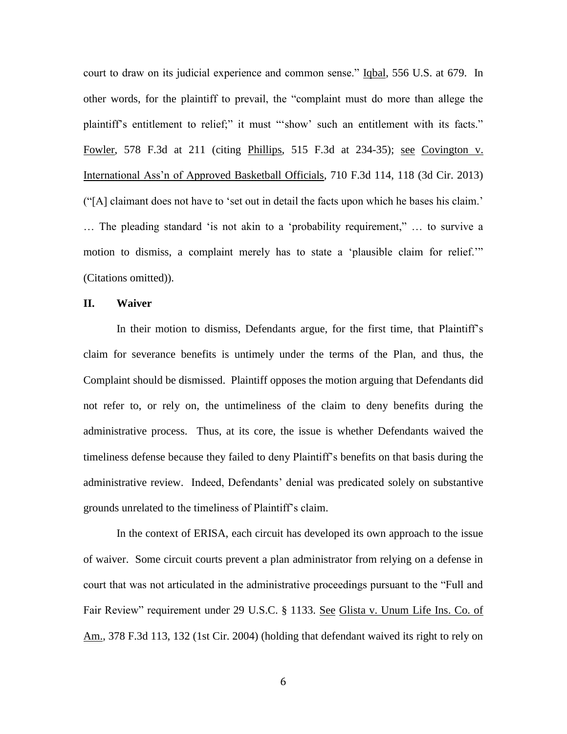court to draw on its judicial experience and common sense." Iqbal, 556 U.S. at 679. In other words, for the plaintiff to prevail, the "complaint must do more than allege the plaintiff's entitlement to relief;" it must "'show' such an entitlement with its facts." Fowler, 578 F.3d at 211 (citing Phillips, 515 F.3d at 234-35); see Covington v. International Ass'n of Approved Basketball Officials, 710 F.3d 114, 118 (3d Cir. 2013) ("[A] claimant does not have to 'set out in detail the facts upon which he bases his claim.' … The pleading standard 'is not akin to a 'probability requirement," … to survive a motion to dismiss, a complaint merely has to state a 'plausible claim for relief.'" (Citations omitted)).

## **II. Waiver**

In their motion to dismiss, Defendants argue, for the first time, that Plaintiff's claim for severance benefits is untimely under the terms of the Plan, and thus, the Complaint should be dismissed. Plaintiff opposes the motion arguing that Defendants did not refer to, or rely on, the untimeliness of the claim to deny benefits during the administrative process. Thus, at its core, the issue is whether Defendants waived the timeliness defense because they failed to deny Plaintiff's benefits on that basis during the administrative review. Indeed, Defendants' denial was predicated solely on substantive grounds unrelated to the timeliness of Plaintiff's claim.

In the context of ERISA, each circuit has developed its own approach to the issue of waiver. Some circuit courts prevent a plan administrator from relying on a defense in court that was not articulated in the administrative proceedings pursuant to the "Full and Fair Review" requirement under 29 U.S.C. § 1133. See Glista v. Unum Life Ins. Co. of Am., 378 F.3d 113, 132 (1st Cir. 2004) (holding that defendant waived its right to rely on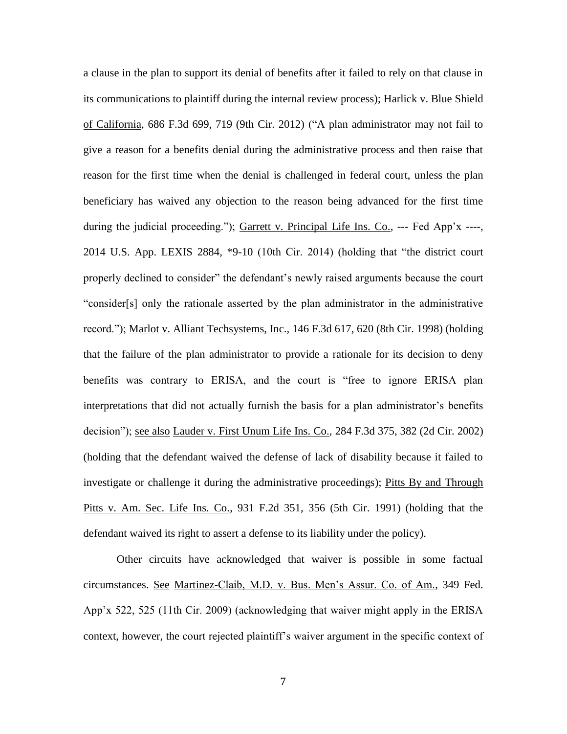a clause in the plan to support its denial of benefits after it failed to rely on that clause in its communications to plaintiff during the internal review process); Harlick v. Blue Shield of California, 686 F.3d 699, 719 (9th Cir. 2012) ("A plan administrator may not fail to give a reason for a benefits denial during the administrative process and then raise that reason for the first time when the denial is challenged in federal court, unless the plan beneficiary has waived any objection to the reason being advanced for the first time during the judicial proceeding."); Garrett v. Principal Life Ins. Co., --- Fed App'x ----, 2014 U.S. App. LEXIS 2884, \*9-10 (10th Cir. 2014) (holding that "the district court properly declined to consider" the defendant's newly raised arguments because the court "consider[s] only the rationale asserted by the plan administrator in the administrative record."); Marlot v. Alliant Techsystems, Inc., 146 F.3d 617, 620 (8th Cir. 1998) (holding that the failure of the plan administrator to provide a rationale for its decision to deny benefits was contrary to ERISA, and the court is "free to ignore ERISA plan interpretations that did not actually furnish the basis for a plan administrator's benefits decision"); see also Lauder v. First Unum Life Ins. Co., 284 F.3d 375, 382 (2d Cir. 2002) (holding that the defendant waived the defense of lack of disability because it failed to investigate or challenge it during the administrative proceedings); Pitts By and Through Pitts v. Am. Sec. Life Ins. Co., 931 F.2d 351, 356 (5th Cir. 1991) (holding that the defendant waived its right to assert a defense to its liability under the policy).

Other circuits have acknowledged that waiver is possible in some factual circumstances. See Martinez-Claib, M.D. v. Bus. Men's Assur. Co. of Am., 349 Fed. App'x 522, 525 (11th Cir. 2009) (acknowledging that waiver might apply in the ERISA context, however, the court rejected plaintiff's waiver argument in the specific context of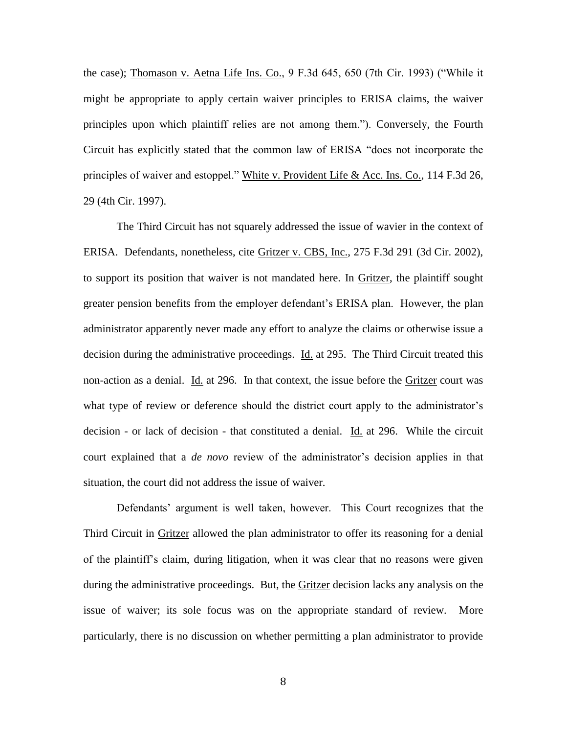the case); Thomason v. Aetna Life Ins. Co., 9 F.3d 645, 650 (7th Cir. 1993) ("While it might be appropriate to apply certain waiver principles to ERISA claims, the waiver principles upon which plaintiff relies are not among them."). Conversely, the Fourth Circuit has explicitly stated that the common law of ERISA "does not incorporate the principles of waiver and estoppel." White v. Provident Life & Acc. Ins. Co., 114 F.3d 26, 29 (4th Cir. 1997).

The Third Circuit has not squarely addressed the issue of wavier in the context of ERISA. Defendants, nonetheless, cite Gritzer v. CBS, Inc., 275 F.3d 291 (3d Cir. 2002), to support its position that waiver is not mandated here. In Gritzer, the plaintiff sought greater pension benefits from the employer defendant's ERISA plan. However, the plan administrator apparently never made any effort to analyze the claims or otherwise issue a decision during the administrative proceedings. Id. at 295. The Third Circuit treated this non-action as a denial. Id. at 296. In that context, the issue before the Gritzer court was what type of review or deference should the district court apply to the administrator's decision - or lack of decision - that constituted a denial. Id. at 296. While the circuit court explained that a *de novo* review of the administrator's decision applies in that situation, the court did not address the issue of waiver.

Defendants' argument is well taken, however. This Court recognizes that the Third Circuit in *Gritzer* allowed the plan administrator to offer its reasoning for a denial of the plaintiff's claim, during litigation, when it was clear that no reasons were given during the administrative proceedings. But, the Gritzer decision lacks any analysis on the issue of waiver; its sole focus was on the appropriate standard of review. More particularly, there is no discussion on whether permitting a plan administrator to provide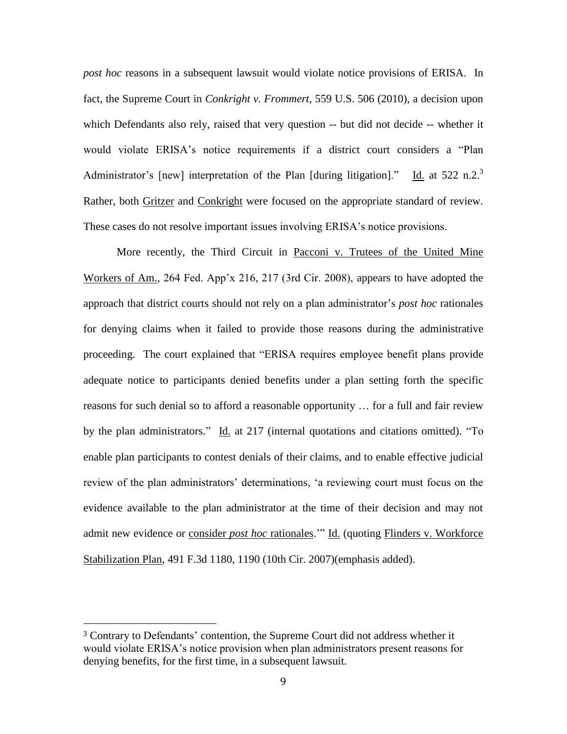*post hoc* reasons in a subsequent lawsuit would violate notice provisions of ERISA. In fact, the Supreme Court in *Conkright v. Frommert*, 559 U.S. 506 (2010), a decision upon which Defendants also rely, raised that very question -- but did not decide -- whether it would violate ERISA's notice requirements if a district court considers a "Plan Administrator's [new] interpretation of the Plan [during litigation]." Id. at  $522$  n.2.<sup>3</sup> Rather, both Gritzer and Conkright were focused on the appropriate standard of review. These cases do not resolve important issues involving ERISA's notice provisions.

More recently, the Third Circuit in Pacconi v. Trutees of the United Mine Workers of Am., 264 Fed. App'x 216, 217 (3rd Cir. 2008), appears to have adopted the approach that district courts should not rely on a plan administrator's *post hoc* rationales for denying claims when it failed to provide those reasons during the administrative proceeding. The court explained that "ERISA requires employee benefit plans provide adequate notice to participants denied benefits under a plan setting forth the specific reasons for such denial so to afford a reasonable opportunity … for a full and fair review by the plan administrators." Id. at 217 (internal quotations and citations omitted). "To enable plan participants to contest denials of their claims, and to enable effective judicial review of the plan administrators' determinations, 'a reviewing court must focus on the evidence available to the plan administrator at the time of their decision and may not admit new evidence or consider *post hoc* rationales.'" Id. (quoting Flinders v. Workforce Stabilization Plan, 491 F.3d 1180, 1190 (10th Cir. 2007)(emphasis added).

 $\overline{a}$ 

<sup>3</sup> Contrary to Defendants' contention, the Supreme Court did not address whether it would violate ERISA's notice provision when plan administrators present reasons for denying benefits, for the first time, in a subsequent lawsuit.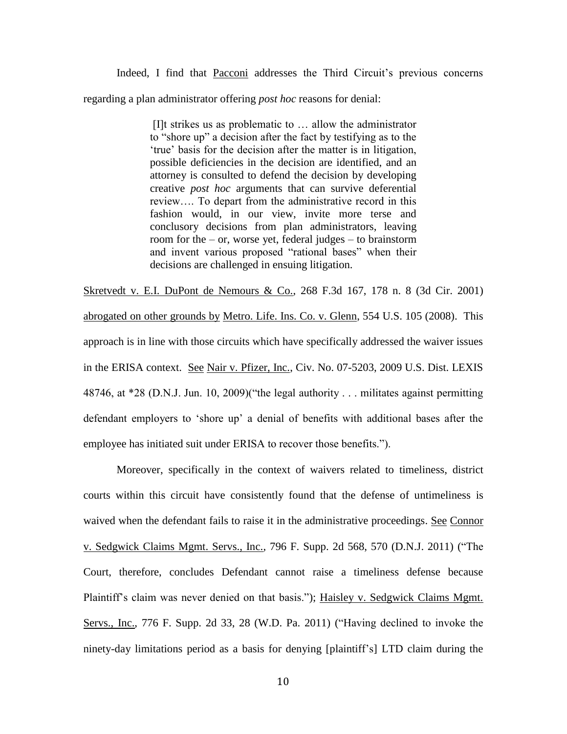Indeed, I find that Pacconi addresses the Third Circuit's previous concerns regarding a plan administrator offering *post hoc* reasons for denial:

> [I]t strikes us as problematic to … allow the administrator to "shore up" a decision after the fact by testifying as to the 'true' basis for the decision after the matter is in litigation, possible deficiencies in the decision are identified, and an attorney is consulted to defend the decision by developing creative *post hoc* arguments that can survive deferential review…. To depart from the administrative record in this fashion would, in our view, invite more terse and conclusory decisions from plan administrators, leaving room for the – or, worse yet, federal judges – to brainstorm and invent various proposed "rational bases" when their decisions are challenged in ensuing litigation.

Skretvedt v. E.I. DuPont de Nemours & Co., 268 F.3d 167, 178 n. 8 (3d Cir. 2001) abrogated on other grounds by Metro. Life. Ins. Co. v. Glenn, 554 U.S. 105 (2008). This approach is in line with those circuits which have specifically addressed the waiver issues in the ERISA context. See Nair v. Pfizer, Inc., Civ. No. 07-5203, 2009 U.S. Dist. LEXIS 48746, at \*28 (D.N.J. Jun. 10, 2009)("the legal authority . . . militates against permitting defendant employers to 'shore up' a denial of benefits with additional bases after the employee has initiated suit under ERISA to recover those benefits.").

Moreover, specifically in the context of waivers related to timeliness, district courts within this circuit have consistently found that the defense of untimeliness is waived when the defendant fails to raise it in the administrative proceedings. See Connor v. Sedgwick Claims Mgmt. Servs., Inc., 796 F. Supp. 2d 568, 570 (D.N.J. 2011) ("The Court, therefore, concludes Defendant cannot raise a timeliness defense because Plaintiff's claim was never denied on that basis."); Haisley v. Sedgwick Claims Mgmt. Servs., Inc., 776 F. Supp. 2d 33, 28 (W.D. Pa. 2011) ("Having declined to invoke the ninety-day limitations period as a basis for denying [plaintiff's] LTD claim during the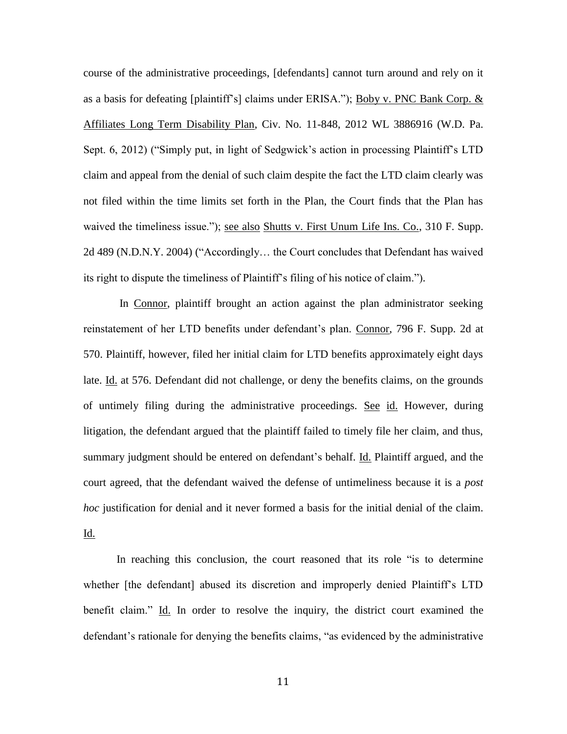course of the administrative proceedings, [defendants] cannot turn around and rely on it as a basis for defeating [plaintiff's] claims under ERISA."); Boby v. PNC Bank Corp. & Affiliates Long Term Disability Plan, Civ. No. 11-848, 2012 WL 3886916 (W.D. Pa. Sept. 6, 2012) ("Simply put, in light of Sedgwick's action in processing Plaintiff's LTD claim and appeal from the denial of such claim despite the fact the LTD claim clearly was not filed within the time limits set forth in the Plan, the Court finds that the Plan has waived the timeliness issue."); see also Shutts v. First Unum Life Ins. Co., 310 F. Supp. 2d 489 (N.D.N.Y. 2004) ("Accordingly… the Court concludes that Defendant has waived its right to dispute the timeliness of Plaintiff's filing of his notice of claim.").

In Connor, plaintiff brought an action against the plan administrator seeking reinstatement of her LTD benefits under defendant's plan. Connor, 796 F. Supp. 2d at 570. Plaintiff, however, filed her initial claim for LTD benefits approximately eight days late. Id. at 576. Defendant did not challenge, or deny the benefits claims, on the grounds of untimely filing during the administrative proceedings. See id. However, during litigation, the defendant argued that the plaintiff failed to timely file her claim, and thus, summary judgment should be entered on defendant's behalf. Id. Plaintiff argued, and the court agreed, that the defendant waived the defense of untimeliness because it is a *post hoc* justification for denial and it never formed a basis for the initial denial of the claim. Id.

In reaching this conclusion, the court reasoned that its role "is to determine whether [the defendant] abused its discretion and improperly denied Plaintiff's LTD benefit claim." Id. In order to resolve the inquiry, the district court examined the defendant's rationale for denying the benefits claims, "as evidenced by the administrative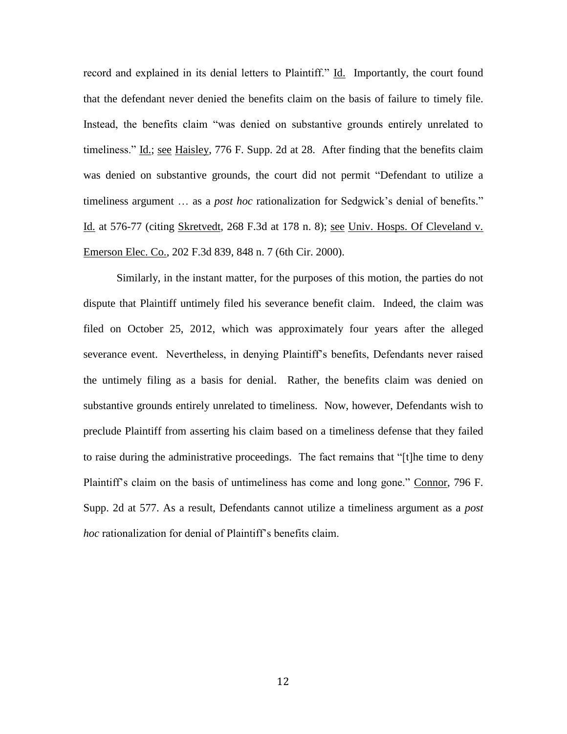record and explained in its denial letters to Plaintiff." Id. Importantly, the court found that the defendant never denied the benefits claim on the basis of failure to timely file. Instead, the benefits claim "was denied on substantive grounds entirely unrelated to timeliness." Id.; see Haisley, 776 F. Supp. 2d at 28. After finding that the benefits claim was denied on substantive grounds, the court did not permit "Defendant to utilize a timeliness argument … as a *post hoc* rationalization for Sedgwick's denial of benefits." Id. at 576-77 (citing Skretvedt, 268 F.3d at 178 n. 8); see Univ. Hosps. Of Cleveland v. Emerson Elec. Co., 202 F.3d 839, 848 n. 7 (6th Cir. 2000).

Similarly, in the instant matter, for the purposes of this motion, the parties do not dispute that Plaintiff untimely filed his severance benefit claim. Indeed, the claim was filed on October 25, 2012, which was approximately four years after the alleged severance event. Nevertheless, in denying Plaintiff's benefits, Defendants never raised the untimely filing as a basis for denial. Rather, the benefits claim was denied on substantive grounds entirely unrelated to timeliness. Now, however, Defendants wish to preclude Plaintiff from asserting his claim based on a timeliness defense that they failed to raise during the administrative proceedings. The fact remains that "[t]he time to deny Plaintiff's claim on the basis of untimeliness has come and long gone." Connor, 796 F. Supp. 2d at 577. As a result, Defendants cannot utilize a timeliness argument as a *post hoc* rationalization for denial of Plaintiff's benefits claim.